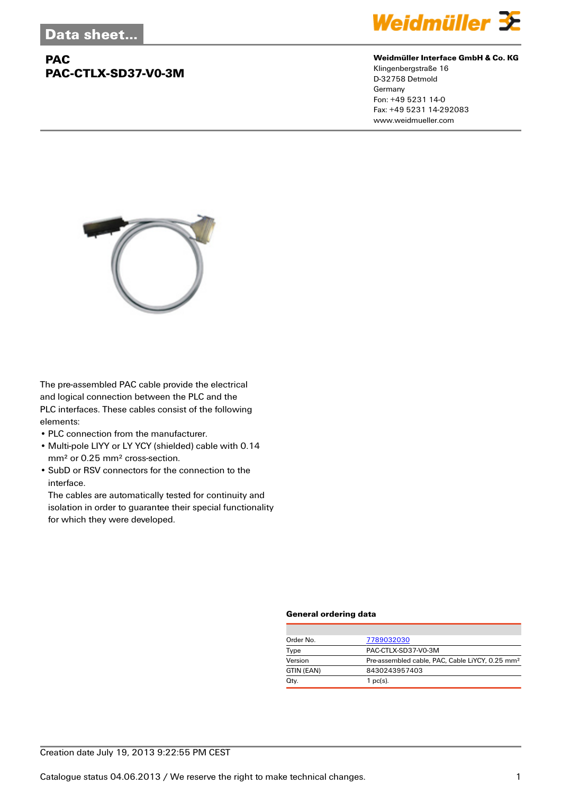## **PAC PAC-CTLX-SD37-V0-3M**



#### **Weidmüller Interface GmbH & Co. KG**

Klingenbergstraße 16 D-32758 Detmold Germany Fon: +49 5231 14-0 Fax: +49 5231 14-292083 www.weidmueller.com



The pre-assembled PAC cable provide the electrical and logical connection between the PLC and the PLC interfaces. These cables consist of the following elements:

- PLC connection from the manufacturer.
- Multi-pole LIYY or LY YCY (shielded) cable with 0.14 mm² or 0.25 mm² cross-section.
- SubD or RSV connectors for the connection to the interface.

The cables are automatically tested for continuity and isolation in order to guarantee their special functionality for which they were developed.

#### **General ordering data**

| Order No.  | 7789032030                                                  |  |  |
|------------|-------------------------------------------------------------|--|--|
| Type       | PAC-CTLX-SD37-V0-3M                                         |  |  |
| Version    | Pre-assembled cable, PAC, Cable LiYCY, 0.25 mm <sup>2</sup> |  |  |
| GTIN (EAN) | 8430243957403                                               |  |  |
| Qty.       | $1$ pc(s).                                                  |  |  |